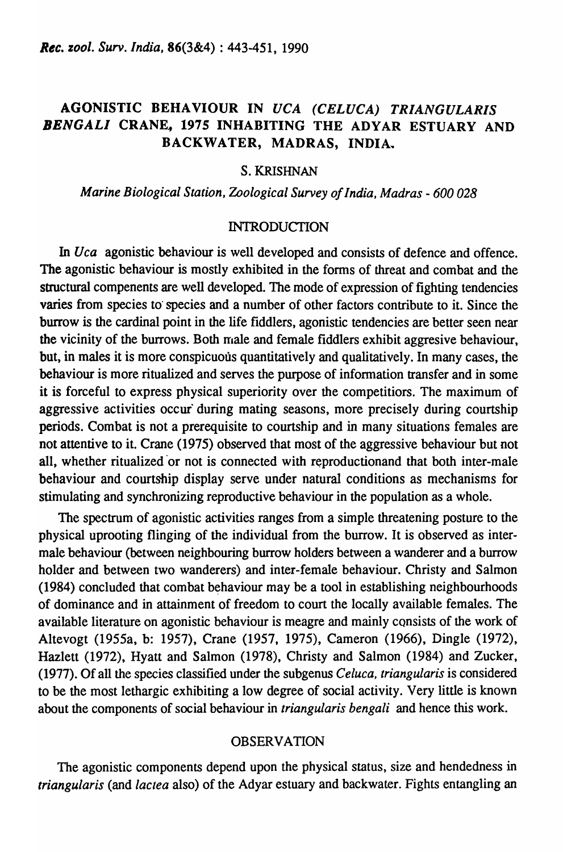# AGONISTIC BEHAVIOUR IN *UCA (CELUCA) TRIANGULARIS*  BENGALI CRANE, 1975 INHABITING THE ADYAR ESTUARY AND BACKWATER, MADRAS, INDIA,.

## S. KRISHNAN

## *Marine Biological Station, Zoological Survey of India, Madras* - *600 028*

### INTRODUCTION

In *Uca* agonistic behaviour is well developed and consists of defence and offence. The agonistic behaviour is mostly exhibited in the forms of threat and combat and the structural compenents are well developed. The mode of expression of fighting tendencies varies from species to' species and a number of other factors contribute to it. Since the burrow is the cardinal point in the life fiddlers, agonistic tendencies are better seen near the vicinity of the burrows. Both rnale and female fiddlers exhibit aggresive behaviour, but, in males it is more conspicuous quantitatively and qualitatively. In many cases, the behaviour is more ritualized and serves the purpose of information transfer and in some it is forceful to express physical superiority over the competitiors. The maximum of aggressive activities occur'during mating seasons, more precisely during courtship periods. Combat is not a prerequisite to courtship and in many situations females are not attentive to it. Crane (1975) observed that most of the aggressive behaviour but not all, whether ritualized or not is connected with reproductionand that both inter-male behaviour and courtship display serve under natural conditions as mechanisms for stimulating and synchronizing reproductive behaviour in the population as a whole.

The spectrum of agonistic activities ranges from a simple threatening posture to the physical uprooting flinging of the individual from the burrow. It is observed as intermale behaviour (between neighbouring burrow holders between a wanderer and a burrow holder and between two wanderers) and inter-female behaviour. Christy and Salmon  $(1984)$  concluded that combat behaviour may be a tool in establishing neighbourhoods of dominance and in attainment of freedom to court the locally available females. The available literature on agonistic behaviour is meagre and mainly consists of the work of Altevogt (1955a, b: 1957), Crane (1957, 1975), Cameron (1966), Dingle (1972), Hazlett (1972), Hyatt and Salmon (1978), Christy and Salmon (1984) and Zucker, (1977). Of all the species classified under the subgenus *Celuca, triangularis* is considered to be the most lethargic exhibiting a low degree of social activity. Very little is known about the components of social behaviour in *triangularis bengali* and hence this work.

### OBSERVATION

The agonistic components depend upon the physical status, size and hendedness in *triangularis* (and *lactea* also) of the Adyar estuary and backwater. Fights entangling an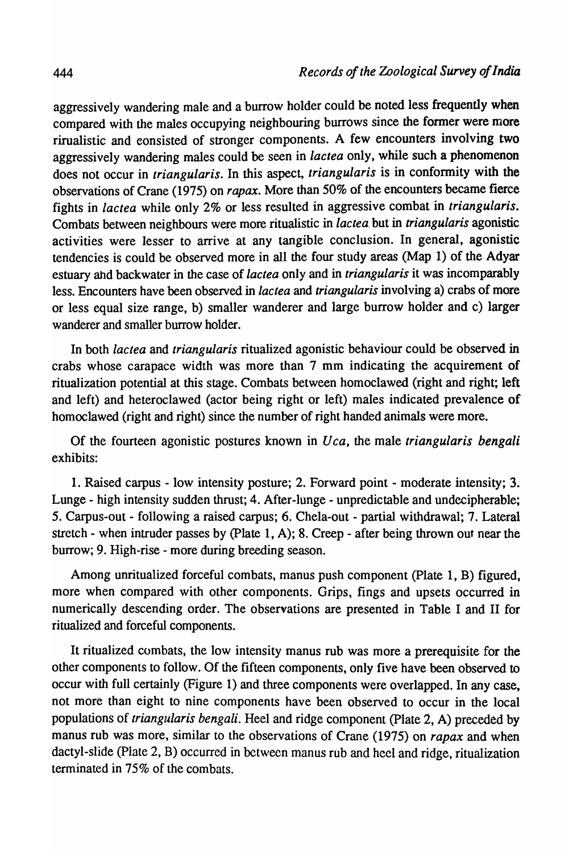aggressively wandering male and a burrow holder could be noted less frequently when compared with the males occupying neighbouring burrows since the former were more rirualistic and eonsisted of stronger components. A few encounters involving two aggressively wandering males could be seen in *lactea* only, while such a phenomenon does not occur in *triangularis.* In this aspect, *triangularis* is in conformity with the observations of Crane (1975) on *rapax.* More than 50% of the encounters became fierce fights in *lactea* while only 2% or less resulted in aggressive combat in *triangularis.*  Combats between neighbours were more ritualistic in *lac tea.* but in *triangularis* agonistic activities were lesser to arrive at any tangible conclusion. In general, agonistic tendencies is could be observed more in all the four study areas (Map 1) of the Adyar estuary ahd backwater in the case of *lactea* only and in *triangularis* it was incomparably less. Encounters have been observed in *lactea* and *triangularis* involving a) crabs of more or less equal size range, b) smaller wanderer and large burrow holder and c) larger wanderer and smaller burrow holder.

In both *lactea* and *triangularis* ritualized agonistic behaviour could be observed in crabs whose carapace width was more than 7 mm indicating the acquirement of ritualization potential at this stage. Combats between homoclawed (right and right; left and left) and heteroclawed (actor being right or left) males indicated prevalence of homoclawed (right and right) since the number of right handed animals were more.

Of the fourteen agonistic postures known in *U ca,* the male *triangularis bengali*  exhibits:

1. Raised carpus - low intensity posture; 2. Forward point - moderate intensity; 3. Lunge - high intensity sudden thrust; 4. After-lunge - unpredictable and undecipherable; 5. Carpus-out - following a raised carpus; 6. Chela-out - partial withdrawal; 7. Lateral stretch - when intruder passes by (plate 1, A); 8. Creep - after being thrown out near the burrow; 9. High-rise - more during breeding season.

Among unritualized forceful combats, manus push component (Plate 1, B) figured, more when compared with other components. Grips, fings and upsets occurred in numerically descending order. The observations are presented in Table I and II for ritualized and forceful components.

It ritualized combats, the low intensity manus rub was more a prerequisite for the other components to follow. Of the fifteen components, only five have been observed to occur with full certainly (Figure 1) and three components were overlapped. In any case, not more than eight to nine components have been observed to occur in the local populations of *triangularis bengali.* Heel and ridge component (plate 2, A) preceded by manus rub was more, similar to the observations of Crane (1975) on *rapax* and when dactyl-slide (plate 2, B) occurred in between manus rub and heel and ridge, ritualization terminated in 75% of the combats.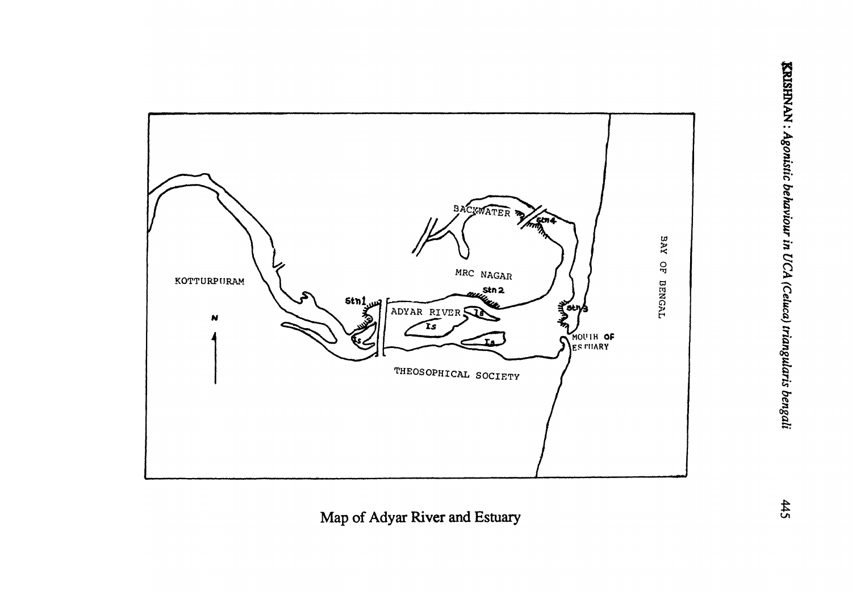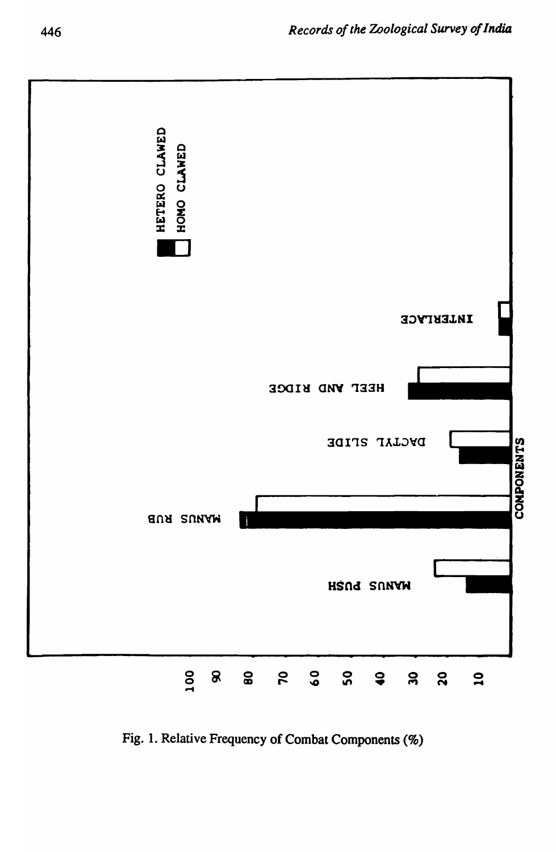

Fig. 1. Relative Frequency of Combat Components (%)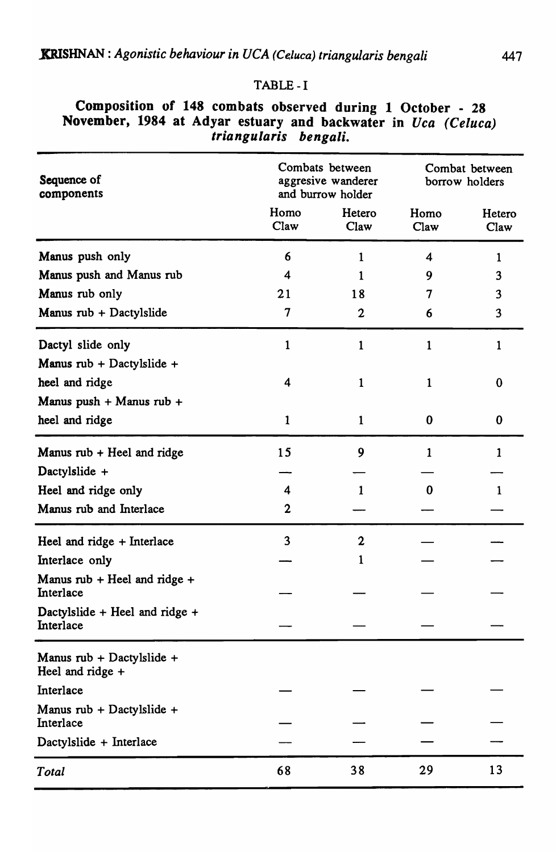## TABLE -I

| Sequence of<br>components                                          |                | Combats between<br>aggresive wanderer<br>and burrow holder | Combat between<br>borrow holders |                |  |
|--------------------------------------------------------------------|----------------|------------------------------------------------------------|----------------------------------|----------------|--|
|                                                                    | Homo<br>Claw   | Hetero<br>Claw                                             | Homo<br>Claw                     | Hetero<br>Claw |  |
| Manus push only                                                    | 6              | 1                                                          | 4                                | 1              |  |
| Manus push and Manus rub                                           | 4              |                                                            | 9                                | 3              |  |
| Manus rub only                                                     | 21             | 18                                                         | 7                                | 3              |  |
| Manus rub + Dactylslide                                            | $\overline{7}$ | $\mathbf 2$                                                | 6                                | 3              |  |
| Dactyl slide only                                                  | 1              | 1                                                          | $\mathbf{1}$                     | 1              |  |
| Manus rub + Dactylslide +                                          |                |                                                            |                                  |                |  |
| heel and ridge                                                     | 4              | 1                                                          | 1                                | $\bf{0}$       |  |
| Manus push + Manus rub +                                           |                |                                                            |                                  |                |  |
| heel and ridge                                                     | 1              | 1                                                          | 0                                | $\bf{0}$       |  |
| Manus rub + Heel and ridge                                         | 15             | 9                                                          | 1                                | 1              |  |
| Dactylslide +                                                      |                |                                                            |                                  |                |  |
| Heel and ridge only                                                | 4              | 1                                                          | 0                                | 1              |  |
| Manus rub and Interlace                                            | $\mathbf 2$    |                                                            |                                  |                |  |
| Heel and ridge + Interlace                                         | 3              | $\mathbf 2$                                                |                                  |                |  |
| Interlace only                                                     |                |                                                            |                                  |                |  |
| Manus $\text{rub} + \text{Heel}$ and $\text{ridge} +$<br>Interlace |                |                                                            |                                  |                |  |
| Dactylslide + Heel and ridge +<br>Interlace                        |                |                                                            |                                  |                |  |
| Manus rub + Dactylslide +<br>Heel and ridge +                      |                |                                                            |                                  |                |  |
| Interlace                                                          |                |                                                            |                                  |                |  |
| Manus rub + Dactylslide +<br>Interlace                             |                |                                                            |                                  |                |  |
| Dactylslide + Interlace                                            |                |                                                            |                                  |                |  |
| Total                                                              | 68             | 38                                                         | 29                               | 13             |  |

# Composition of 148 combats observed during 1 October - 28 November, 1984 at Adyar estuary and backwater in Uca (Celuca) *triangularis bengali.*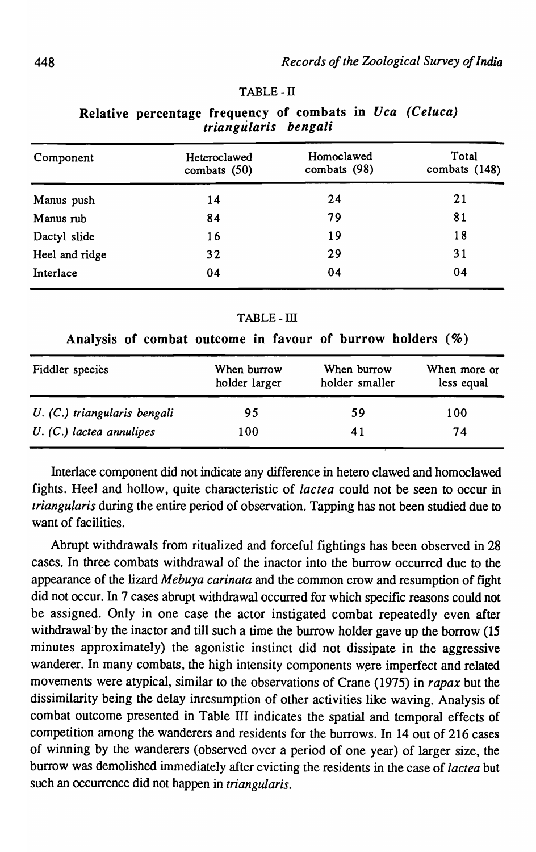#### TABLE-IT

Relative percentage frequency of combats in Uca (Celuca) *triangularis bengali* 

| Component      | Heteroclawed<br>combats (50) | Homoclawed<br>combats (98) | Total<br>combats (148) |  |
|----------------|------------------------------|----------------------------|------------------------|--|
| Manus push     | 14                           | 24                         | 21                     |  |
| Manus rub      | 84                           | 79                         | 81                     |  |
| Dactyl slide   | 16                           | 19                         | 18                     |  |
| Heel and ridge | 32                           | 29                         | 31                     |  |
| Interlace      | 04                           | 04                         | 04                     |  |

TABLE-III

| Analysis of combat outcome in favour of burrow holders (%) |  |  |  |  |  |
|------------------------------------------------------------|--|--|--|--|--|
|                                                            |  |  |  |  |  |

| Fiddler species              | When burrow<br>holder larger | When burrow<br>holder smaller | When more or<br>less equal |
|------------------------------|------------------------------|-------------------------------|----------------------------|
| U. (C.) triangularis bengali | 95                           | 59                            | 100                        |
| $U.$ (C.) lacted annulipes   | 100                          | 41                            | 74                         |

Interlace component did not indicate any difference in hetero clawed and homoclawed fights. Heel and hollow, quite characteristic of *lac tea* could not be seen to occur in *triangularis* during the entire period of observation. Tapping has not been studied due to want of facilities.

Abrupt withdrawals from ritualized and forceful fightings has been observed in 28 cases. In three combats withdrawal of the inactor into the burrow occurred due to the appearance of the lizard *Mebuya carinata* and the common crow and resumption of fight did not occur. In 7 cases abrupt withdrawal occurred for which specific reasons could not be assigned. Only in one case the actor instigated combat repeatedly even after withdrawal by the inactor and till such a time the burrow holder gave up the borrow (15 minutes approximately) the agonistic instinct did not dissipate in the aggressive wanderer. In many combats, the high intensity components were imperfect and related movements were atypical, similar to the observations of Crane (1975) in *rapax* but the dissimilarity being the delay inresumption of other activities like waving. Analysis of combat outcome presented in Table III indicates the spatial and temporal effects of competition among the wanderers and residents for the burrows. In 14 out of 216 cases of winning by the wanderers (observed over a period of one year) of larger size, the burrow was demolished immediately after evicting the residents in the case of *lactea* but such an occurrence did not happen in *triangularis.*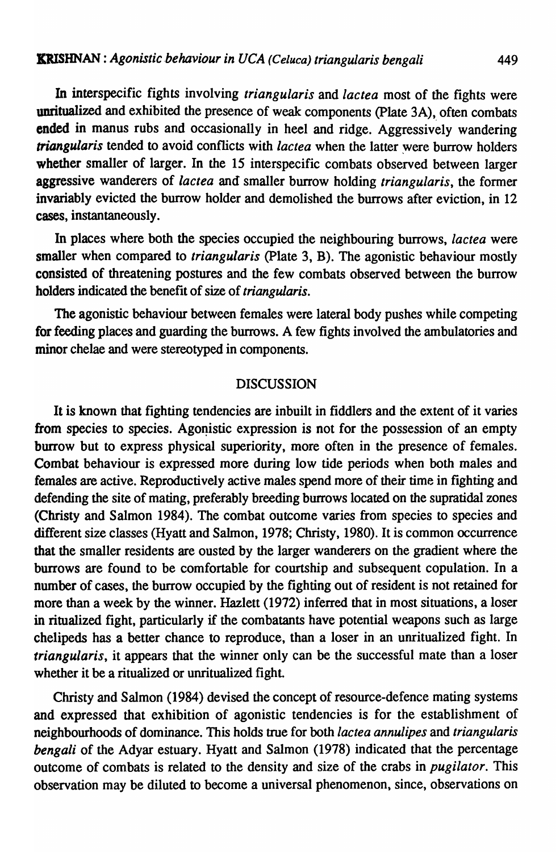In interspecific fights involving *triangularis* and *lactea* most of the fights were unritualized and exhibited the presence of weak components (Plate 3A), often combats ended in manus rubs and occasionally in heel and ridge. Aggressively wandering *triangularis* tended to avoid conflicts with *lactea* when the latter were burrow holders whether smaller of larger. In the 15 interspecific combats observed between larger aggressive wanderers of *lactea* and smaller burrow holding *triangularis,* the former invariably evicted the burrow holder and demolished the burrows after eviction, in 12 cases, instantaneously.

In places where both the species occupied the neighbouring burrows, *lactea* were smaller when compared to *triangularis* (plate 3, B). The agonistic behaviour mostly consisted of threatening postures and the few combats observed between the burrow holders indicated the benefit of size of *triangularis.* 

The agonistic behaviour between females were lateral body pushes while competing for feeding places and guarding the burrows. A few fights involved the ambulatories and minor chelae and were stereotyped in components.

### DISCUSSION

It is known that fighting tendencies are inbuilt in fiddlers and the extent of it varies from species to species. Agonistic expression is not for the possession of an empty burrow but to express physical superiority, more often in the presence of females. Combat behaviour is expressed more during low tide periods when both males and females are active. Reproductively active males spend more of their time in fighting and defending the site of mating, preferably breeding burrows located on the supratidal zones (Christy and Salmon 1984). The combat outcome varies from species to species and different size classes (Hyatt and Salmon, 1978; Christy, 1980). It is common occurrence that the smaller residents are ousted by the larger wanderers on the gradient where the burrows are found to be comfortable for courtship and subsequent copulation. In a number of cases, the burrow occupied by the fighting out of resident is not retained for more than a week by the winner. Hazlett (1972) inferred that in most situations, a loser in ritualized fight, particularly if the combatants have potential weapons such as large chelipeds has a better chance to reproduce, than a loser in an unritualized fight. In *triangularis,* it appears that the winner only can be the successful mate than a loser whether it be a ritualized or unritualized fight.

Christy and Salmon (1984) devised the concept of resource-defence mating systems and expressed that exhibition of agonistic tendencies is for the establishment of neighbourhoods of dominance. This holds true for both *lac tea annulipes* and *triangularis bengali* of the Adyar estuary. Hyatt and Salmon (1978) indicated that the percentage outcome of combats is related to the density and size of the crabs in *pugilator.* This observation may be diluted to become a universal phenomenon, since, observations on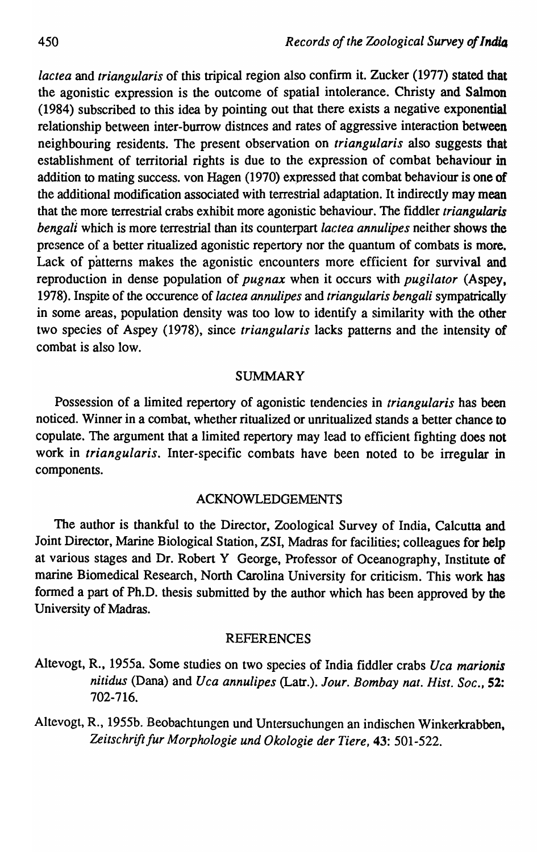*lactea* and *triangularis* of this tripical region also confirm it. Zucker (1977) stated that the agonistic expression is the outcome of spatial intolerance. Christy and Salmon (1984) subscribed to this idea by pointing out that there exists a negative exponential relationship between inter-burrow distnces and rates of aggressive interaction between neighbouring (esidents. The present observation on *triangularis* also suggests that establishment of territorial rights is due to the expression of combat behaviour in addition to mating success. von Hagen (1970) expressed that combat behaviour is one of the additional modification associated with terrestrial adaptation. It indirectly may mean that the more terrestrial crabs exhibit more agonistic behaviour. The fiddler *triangularis bengali* which is more terrestrial than its counterpart *lactea annulipes* neither shows the presence of a better ritualized agonistic repertory nor the quantum of combats is more. Lack of patterns makes the agonistic encounters more efficient for survival and reproduction in dense population of *pugnax* when it occurs with *pugilator* (Aspey, 1978). Inspite of the occurence of *lactea annu/ipes* and *triangularis bengali* sympatrically' in some areas, population density was too low to identify a similarity with the other two species of Aspey (1978), since *triangularis* lacks patterns and the intensity of combat is also low.

### SUMMARY

Possession of a limited repertory of agonistic tendencies in *triangularis* has been noticed. Winner in a combat, whether ritualized or unritualized stands a better chance to copulate. The argument that a limited repertory may lead to efficient fighting does not work in *triangularis.* Inter-specific combats have been noted to be irregular in components.

### ACKNOWLEDGEMENTS

The author is thankful to the Director, Zoological Survey of India, Calcutta and Joint Director, Marine Biological Station, ZSI, Madras for facilities; colleagues for help at various stages and Dr. Robert Y George, Professor of Oceanography, Institute of marine Biomedical Research, North Carolina University for criticism. This work has fonned a part of Ph.D. thesis submitted by the author which has been approved by the University of Madras.

#### REFERENCES

Altevogt, R., 1955a. Some studies on two species of India fiddler crabs *Uca marionis nitidus* (Dana) and *Uca annulipes* (Latr.). *Jour. Bombay nat. Hist. Soc., 52:*  702-716.

Altevogt, R., 1955b. Beobachtungen und Untersuchungen an indischen Winkerkrabben, Zeitschrift fur Morphologie und Okologie der Tiere, 43: 501-522.